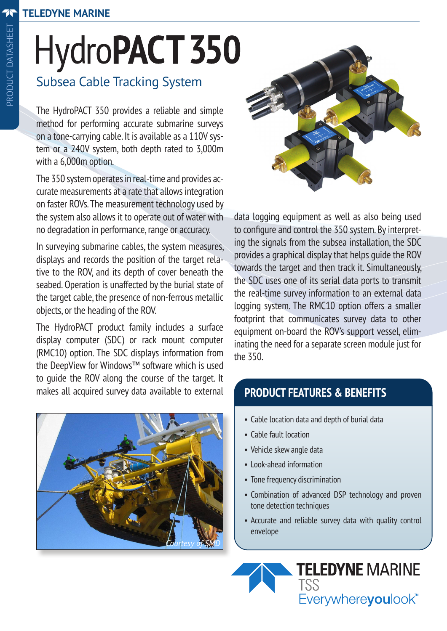# HydroPACT 350

### Subsea Cable Tracking System

The HydroPACT 350 provides a reliable and simple method for performing accurate submarine surveys on a tone-carrying cable. It is available as a 110V system or a 240V system, both depth rated to 3,000m with a 6,000m option.

The 350 system operates in real-time and provides accurate measurements at a rate that allows integration on faster ROVs. The measurement technology used by the system also allows it to operate out of water with no degradation in performance, range or accuracy.

In surveying submarine cables, the system measures, displays and records the position of the target relative to the ROV, and its depth of cover beneath the seabed. Operation is unaffected by the burial state of the target cable, the presence of non-ferrous metallic objects, or the heading of the ROV.

The HydroPACT product family includes a surface display computer (SDC) or rack mount computer (RMC10) option. The SDC displays information from the DeepView for Windows™ software which is used to guide the ROV along the course of the target. It makes all acquired survey data available to external





data logging equipment as well as also being used to configure and control the 350 system. By interpreting the signals from the subsea installation, the SDC provides a graphical display that helps guide the ROV towards the target and then track it. Simultaneously, the SDC uses one of its serial data ports to transmit the real-time survey information to an external data logging system. The RMC10 option offers a smaller footprint that communicates survey data to other equipment on-board the ROV's support vessel, eliminating the need for a separate screen module just for the 350.

#### **PRODUCT FEATURES & BENEFITS**

- Cable location data and depth of burial data
- Cable fault location
- Vehicle skew angle data
- Look-ahead information
- Tone frequency discrimination
- Combination of advanced DSP technology and proven tone detection techniques
- Accurate and reliable survey data with quality control envelope